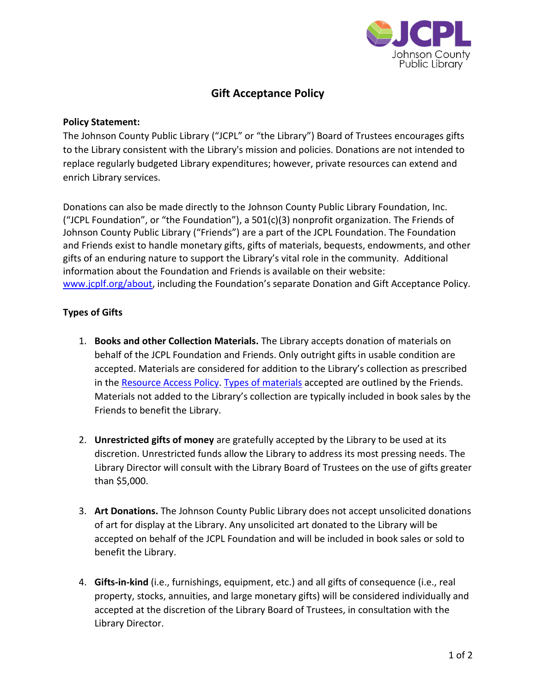

# **Gift Acceptance Policy**

### **Policy Statement:**

The Johnson County Public Library ("JCPL" or "the Library") Board of Trustees encourages gifts to the Library consistent with the Library's mission and policies. Donations are not intended to replace regularly budgeted Library expenditures; however, private resources can extend and enrich Library services.

Donations can also be made directly to the Johnson County Public Library Foundation, Inc. ("JCPL Foundation", or "the Foundation"), a 501(c)(3) nonprofit organization. The Friends of Johnson County Public Library ("Friends") are a part of the JCPL Foundation. The Foundation and Friends exist to handle monetary gifts, gifts of materials, bequests, endowments, and other gifts of an enduring nature to support the Library's vital role in the community. Additional information about the Foundation and Friends is available on their website: [www.jcplf.org/about,](http://www.jcplf.org/about) including the Foundation's separate Donation and Gift Acceptance Policy.

## **Types of Gifts**

- 1. **Books and other Collection Materials.** The Library accepts donation of materials on behalf of the JCPL Foundation and Friends. Only outright gifts in usable condition are accepted. Materials are considered for addition to the Library's collection as prescribed in the [Resource Access Policy.](https://cdn.zephyrcms.com/b0d211f5-7020-46e8-9ef3-cb8f65f54917/-/inline/yes/resource-access-policy-6.18.19.pdf) [Types of materials](https://www.pageafterpage.org/faq#do-you-accept-donations-of-books-and-other-materials) accepted are outlined by the Friends. Materials not added to the Library's collection are typically included in book sales by the Friends to benefit the Library.
- 2. **Unrestricted gifts of money** are gratefully accepted by the Library to be used at its discretion. Unrestricted funds allow the Library to address its most pressing needs. The Library Director will consult with the Library Board of Trustees on the use of gifts greater than \$5,000.
- 3. **Art Donations.** The Johnson County Public Library does not accept unsolicited donations of art for display at the Library. Any unsolicited art donated to the Library will be accepted on behalf of the JCPL Foundation and will be included in book sales or sold to benefit the Library.
- 4. **Gifts-in-kind** (i.e., furnishings, equipment, etc.) and all gifts of consequence (i.e., real property, stocks, annuities, and large monetary gifts) will be considered individually and accepted at the discretion of the Library Board of Trustees, in consultation with the Library Director.